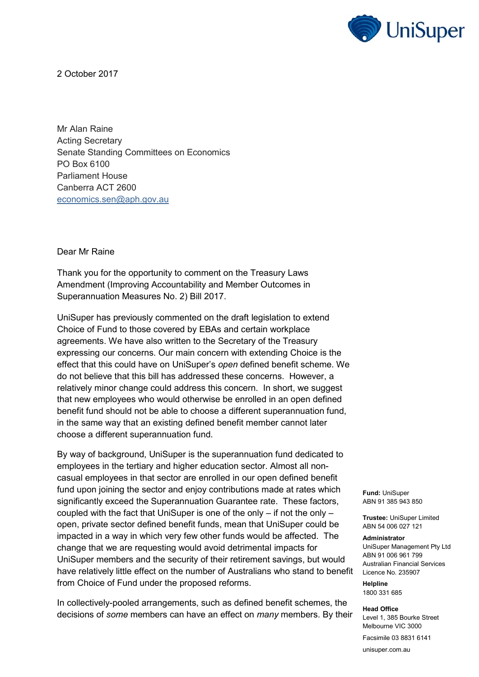

2 October 2017

Mr Alan Raine Acting Secretary Senate Standing Committees on Economics PO Box 6100 Parliament House Canberra ACT 2600 [economics.sen@aph.gov.au](mailto:economics.sen@aph.gov.au)

Dear Mr Raine

Thank you for the opportunity to comment on the Treasury Laws Amendment (Improving Accountability and Member Outcomes in Superannuation Measures No. 2) Bill 2017.

UniSuper has previously commented on the draft legislation to extend Choice of Fund to those covered by EBAs and certain workplace agreements. We have also written to the Secretary of the Treasury expressing our concerns. Our main concern with extending Choice is the effect that this could have on UniSuper's *open* defined benefit scheme. We do not believe that this bill has addressed these concerns. However, a relatively minor change could address this concern. In short, we suggest that new employees who would otherwise be enrolled in an open defined benefit fund should not be able to choose a different superannuation fund, in the same way that an existing defined benefit member cannot later choose a different superannuation fund.

have relatively little effect on the number of Australians who stand to benefit Licence No. 235907 By way of background, UniSuper is the superannuation fund dedicated to employees in the tertiary and higher education sector. Almost all noncasual employees in that sector are enrolled in our open defined benefit fund upon joining the sector and enjoy contributions made at rates which significantly exceed the Superannuation Guarantee rate. These factors, coupled with the fact that UniSuper is one of the only – if not the only – open, private sector defined benefit funds, mean that UniSuper could be impacted in a way in which very few other funds would be affected. The change that we are requesting would avoid detrimental impacts for UniSuper members and the security of their retirement savings, but would from Choice of Fund under the proposed reforms.

In collectively-pooled arrangements, such as defined benefit schemes, the decisions of *some* members can have an effect on *many* members. By their **Fund:** UniSuper ABN 91 385 943 850

**Trustee:** UniSuper Limited ABN 54 006 027 121

## **Administrator**

UniSuper Management Pty Ltd ABN 91 006 961 799 Australian Financial Services

**Helpline** 1800 331 685

**Head Office** Level 1, 385 Bourke Street Melbourne VIC 3000

Facsimile 03 8831 6141

unisuper.com.au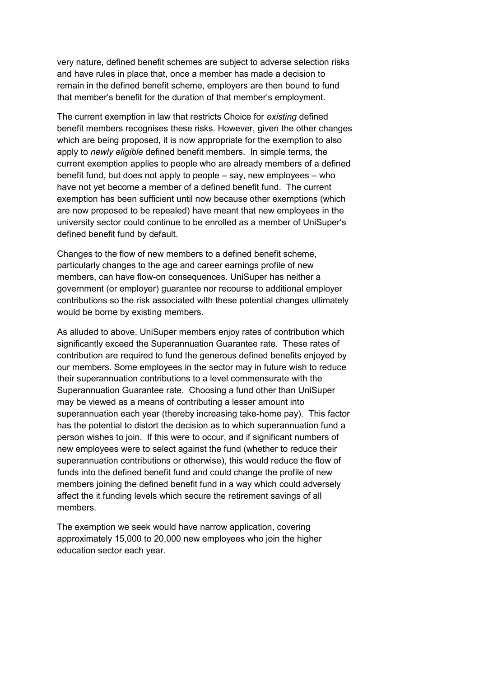very nature, defined benefit schemes are subject to adverse selection risks and have rules in place that, once a member has made a decision to remain in the defined benefit scheme, employers are then bound to fund that member's benefit for the duration of that member's employment.

The current exemption in law that restricts Choice for *existing* defined benefit members recognises these risks. However, given the other changes which are being proposed, it is now appropriate for the exemption to also apply to *newly eligible* defined benefit members. In simple terms, the current exemption applies to people who are already members of a defined benefit fund, but does not apply to people – say, new employees – who have not yet become a member of a defined benefit fund. The current exemption has been sufficient until now because other exemptions (which are now proposed to be repealed) have meant that new employees in the university sector could continue to be enrolled as a member of UniSuper's defined benefit fund by default.

Changes to the flow of new members to a defined benefit scheme, particularly changes to the age and career earnings profile of new members, can have flow-on consequences. UniSuper has neither a government (or employer) guarantee nor recourse to additional employer contributions so the risk associated with these potential changes ultimately would be borne by existing members.

As alluded to above, UniSuper members enjoy rates of contribution which significantly exceed the Superannuation Guarantee rate. These rates of contribution are required to fund the generous defined benefits enjoyed by our members. Some employees in the sector may in future wish to reduce their superannuation contributions to a level commensurate with the Superannuation Guarantee rate. Choosing a fund other than UniSuper may be viewed as a means of contributing a lesser amount into superannuation each year (thereby increasing take-home pay). This factor has the potential to distort the decision as to which superannuation fund a person wishes to join. If this were to occur, and if significant numbers of new employees were to select against the fund (whether to reduce their superannuation contributions or otherwise), this would reduce the flow of funds into the defined benefit fund and could change the profile of new members joining the defined benefit fund in a way which could adversely affect the it funding levels which secure the retirement savings of all members.

The exemption we seek would have narrow application, covering approximately 15,000 to 20,000 new employees who join the higher education sector each year.